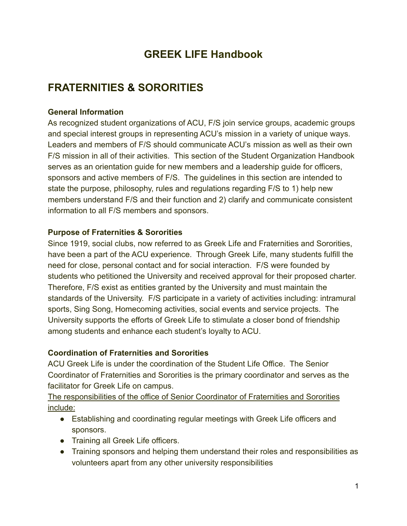# **GREEK LIFE Handbook**

# **FRATERNITIES & SORORITIES**

#### **General Information**

As recognized student organizations of ACU, F/S join service groups, academic groups and special interest groups in representing ACU's mission in a variety of unique ways. Leaders and members of F/S should communicate ACU's mission as well as their own F/S mission in all of their activities. This section of the Student Organization Handbook serves as an orientation guide for new members and a leadership guide for officers, sponsors and active members of F/S. The guidelines in this section are intended to state the purpose, philosophy, rules and regulations regarding F/S to 1) help new members understand F/S and their function and 2) clarify and communicate consistent information to all F/S members and sponsors.

#### **Purpose of Fraternities & Sororities**

Since 1919, social clubs, now referred to as Greek Life and Fraternities and Sororities, have been a part of the ACU experience. Through Greek Life, many students fulfill the need for close, personal contact and for social interaction. F/S were founded by students who petitioned the University and received approval for their proposed charter. Therefore, F/S exist as entities granted by the University and must maintain the standards of the University. F/S participate in a variety of activities including: intramural sports, Sing Song, Homecoming activities, social events and service projects. The University supports the efforts of Greek Life to stimulate a closer bond of friendship among students and enhance each student's loyalty to ACU.

#### **Coordination of Fraternities and Sororities**

ACU Greek Life is under the coordination of the Student Life Office. The Senior Coordinator of Fraternities and Sororities is the primary coordinator and serves as the facilitator for Greek Life on campus.

The responsibilities of the office of Senior Coordinator of Fraternities and Sororities include:

- Establishing and coordinating regular meetings with Greek Life officers and sponsors.
- Training all Greek Life officers.
- Training sponsors and helping them understand their roles and responsibilities as volunteers apart from any other university responsibilities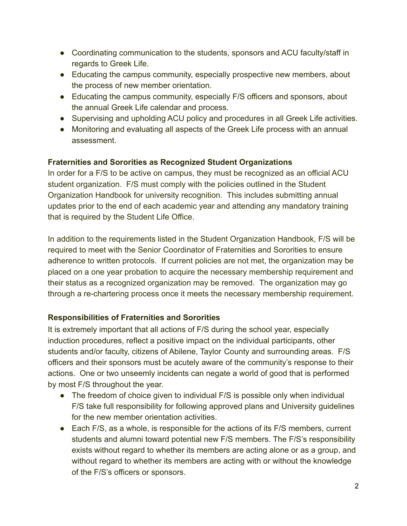- Coordinating communication to the students, sponsors and ACU faculty/staff in regards to Greek Life.
- Educating the campus community, especially prospective new members, about the process of new member orientation.
- Educating the campus community, especially F/S officers and sponsors, about the annual Greek Life calendar and process.
- Supervising and upholding ACU policy and procedures in all Greek Life activities.
- Monitoring and evaluating all aspects of the Greek Life process with an annual assessment.

### **Fraternities and Sororities as Recognized Student Organizations**

In order for a F/S to be active on campus, they must be recognized as an official ACU student organization. F/S must comply with the policies outlined in the Student Organization Handbook for university recognition. This includes submitting annual updates prior to the end of each academic year and attending any mandatory training that is required by the Student Life Office.

In addition to the requirements listed in the Student Organization Handbook, F/S will be required to meet with the Senior Coordinator of Fraternities and Sororities to ensure adherence to written protocols. If current policies are not met, the organization may be placed on a one year probation to acquire the necessary membership requirement and their status as a recognized organization may be removed. The organization may go through a re-chartering process once it meets the necessary membership requirement.

# **Responsibilities of Fraternities and Sororities**

It is extremely important that all actions of F/S during the school year, especially induction procedures, reflect a positive impact on the individual participants, other students and/or faculty, citizens of Abilene, Taylor County and surrounding areas. F/S officers and their sponsors must be acutely aware of the community's response to their actions. One or two unseemly incidents can negate a world of good that is performed by most F/S throughout the year.

- The freedom of choice given to individual F/S is possible only when individual F/S take full responsibility for following approved plans and University guidelines for the new member orientation activities.
- Each F/S, as a whole, is responsible for the actions of its F/S members, current students and alumni toward potential new F/S members. The F/S's responsibility exists without regard to whether its members are acting alone or as a group, and without regard to whether its members are acting with or without the knowledge of the F/S's officers or sponsors.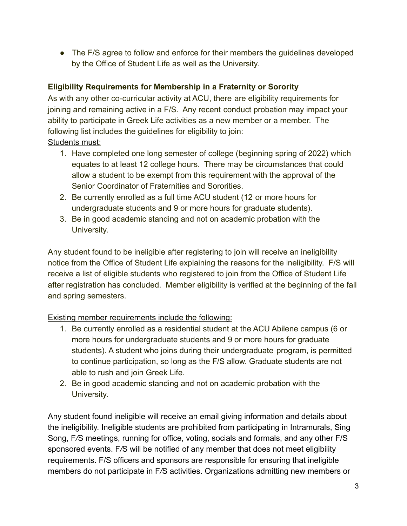• The F/S agree to follow and enforce for their members the quidelines developed by the Office of Student Life as well as the University.

# **Eligibility Requirements for Membership in a Fraternity or Sorority**

As with any other co-curricular activity at ACU, there are eligibility requirements for joining and remaining active in a F/S. Any recent conduct probation may impact your ability to participate in Greek Life activities as a new member or a member. The following list includes the guidelines for eligibility to join: Students must:

- 1. Have completed one long semester of college (beginning spring of 2022) which equates to at least 12 college hours. There may be circumstances that could allow a student to be exempt from this requirement with the approval of the Senior Coordinator of Fraternities and Sororities.
- 2. Be currently enrolled as a full time ACU student (12 or more hours for undergraduate students and 9 or more hours for graduate students).
- 3. Be in good academic standing and not on academic probation with the University.

Any student found to be ineligible after registering to join will receive an ineligibility notice from the Office of Student Life explaining the reasons for the ineligibility. F/S will receive a list of eligible students who registered to join from the Office of Student Life after registration has concluded. Member eligibility is verified at the beginning of the fall and spring semesters.

# Existing member requirements include the following:

- 1. Be currently enrolled as a residential student at the ACU Abilene campus (6 or more hours for undergraduate students and 9 or more hours for graduate students). A student who joins during their undergraduate program, is permitted to continue participation, so long as the F/S allow. Graduate students are not able to rush and join Greek Life.
- 2. Be in good academic standing and not on academic probation with the University.

Any student found ineligible will receive an email giving information and details about the ineligibility. Ineligible students are prohibited from participating in Intramurals, Sing Song, F*/*S meetings, running for office, voting, socials and formals, and any other F/S sponsored events. F*/*S will be notified of any member that does not meet eligibility requirements. F/S officers and sponsors are responsible for ensuring that ineligible members do not participate in F*/*S activities. Organizations admitting new members or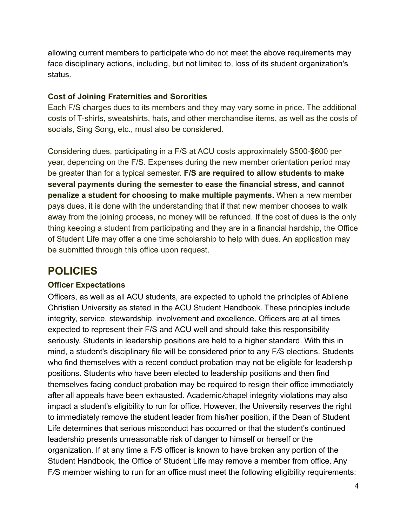allowing current members to participate who do not meet the above requirements may face disciplinary actions, including, but not limited to, loss of its student organization's status.

#### **Cost of Joining Fraternities and Sororities**

Each F/S charges dues to its members and they may vary some in price. The additional costs of T-shirts, sweatshirts, hats, and other merchandise items, as well as the costs of socials, Sing Song, etc., must also be considered.

Considering dues, participating in a F/S at ACU costs approximately \$500-\$600 per year, depending on the F/S. Expenses during the new member orientation period may be greater than for a typical semester. **F/S are required to allow students to make several payments during the semester to ease the financial stress, and cannot penalize a student for choosing to make multiple payments.** When a new member pays dues, it is done with the understanding that if that new member chooses to walk away from the joining process, no money will be refunded. If the cost of dues is the only thing keeping a student from participating and they are in a financial hardship, the Office of Student Life may offer a one time scholarship to help with dues. An application may be submitted through this office upon request.

# **POLICIES**

#### **Officer Expectations**

Officers, as well as all ACU students, are expected to uphold the principles of Abilene Christian University as stated in the ACU Student Handbook. These principles include integrity, service, stewardship, involvement and excellence. Officers are at all times expected to represent their F/S and ACU well and should take this responsibility seriously. Students in leadership positions are held to a higher standard. With this in mind, a student's disciplinary file will be considered prior to any F*/*S elections. Students who find themselves with a recent conduct probation may not be eligible for leadership positions. Students who have been elected to leadership positions and then find themselves facing conduct probation may be required to resign their office immediately after all appeals have been exhausted. Academic*/*chapel integrity violations may also impact a student's eligibility to run for office. However, the University reserves the right to immediately remove the student leader from his/her position, if the Dean of Student Life determines that serious misconduct has occurred or that the student's continued leadership presents unreasonable risk of danger to himself or herself or the organization. If at any time a F*/*S officer is known to have broken any portion of the Student Handbook, the Office of Student Life may remove a member from office. Any F*/*S member wishing to run for an office must meet the following eligibility requirements: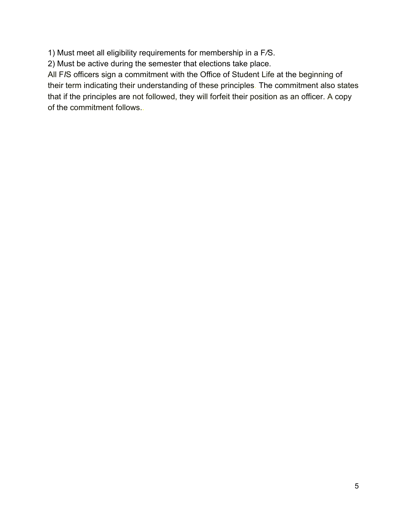1) Must meet all eligibility requirements for membership in a F*/*S.

2) Must be active during the semester that elections take place.

All F*I*S officers sign a commitment with the Office of Student Life at the beginning of their term indicating their understanding of these principles. The commitment also states that if the principles are not followed, they will forfeit their position as an officer. A copy of the commitment follows..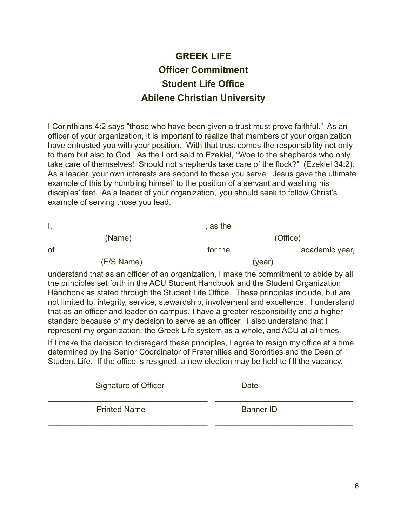# **GREEK LIFE Officer Commitment Student Life Office Abilene Christian University**

I Corinthians 4:2 says "those who have been given a trust must prove faithful." As an officer of your organization, it is important to realize that members of your organization have entrusted you with your position. With that trust comes the responsibility not only to them but also to God. As the Lord said to Ezekiel, "Woe to the shepherds who only take care of themselves! Should not shepherds take care of the flock?" (Ezekiel 34:2). As a leader, your own interests are second to those you serve. Jesus gave the ultimate example of this by humbling himself to the position of a servant and washing his disciples' feet. As a leader of your organization, you should seek to follow Christ's example of serving those you lead.

|            | as the  |                |  |
|------------|---------|----------------|--|
| (Name)     |         | (Office)       |  |
| of         | for the | academic year, |  |
| (F/S Name) | (year)  |                |  |

understand that as an officer of an organization, I make the commitment to abide by all the principles set forth in the ACU Student Handbook and the Student Organization Handbook as stated through the Student Life Office. These principles include, but are not limited to, integrity, service, stewardship, involvement and excellence. I understand that as an officer and leader on campus, I have a greater responsibility and a higher standard because of my decision to serve as an officer. I also understand that I represent my organization, the Greek Life system as a whole, and ACU at all times.

If I make the decision to disregard these principles, I agree to resign my office at a time determined by the Senior Coordinator of Fraternities and Sororities and the Dean of Student Life. If the office is resigned, a new election may be held to fill the vacancy.

| <b>Signature of Officer</b> | Date             |
|-----------------------------|------------------|
| <b>Printed Name</b>         | <b>Banner ID</b> |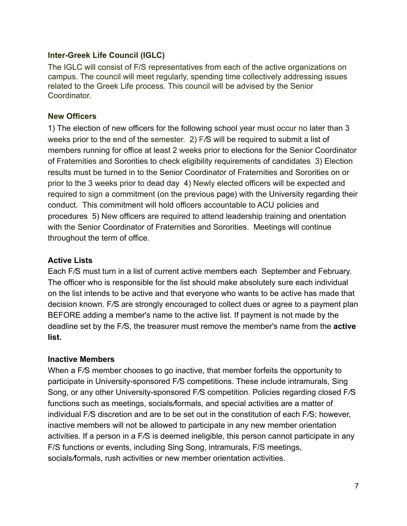#### **Inter-Greek Life Council (IGLC)**

The IGLC will consist of F/S representatives from each of the active organizations on campus. The council will meet regularly, spending time collectively addressing issues related to the Greek Life process. This council will be advised by the Senior **Coordinator** 

#### **New Officers**

1) The election of new officers for the following school year must occur no later than 3 weeks prior to the end of the semester. 2) F*/*S will be required to submit a list of members running for office at least 2 weeks prior to elections for the Senior Coordinator of Fraternities and Sororities to check eligibility requirements of candidates. 3) Election results must be turned in to the Senior Coordinator of Fraternities and Sororities on or prior to the 3 weeks prior to dead day. 4) Newly elected officers will be expected and required to sign a commitment (on the previous page) with the University regarding their conduct.. This commitment will hold officers accountable to ACU policies and procedures. 5) New officers are required to attend leadership training and orientation with the Senior Coordinator of Fraternities and Sororities.. Meetings will continue throughout the term of office.

### **Active Lists**

Each F*/*S must turn in a list of current active members each September and February. The officer who is responsible for the list should make absolutely sure each individual on the list intends to be active and that everyone who wants to be active has made that decision known. F*/*S are strongly encouraged to collect dues or agree to a payment plan BEFORE adding a member's name to the active list. If payment is not made by the deadline set by the F*/*S, the treasurer must remove the member's name from the **active list.**

#### **Inactive Members**

When a F*/*S member chooses to go inactive, that member forfeits the opportunity to participate in University-sponsored F*/*S competitions. These include intramurals, Sing Song, or any other University-sponsored F*/*S competition. Policies regarding closed F*/*S functions such as meetings, socials*/*formals, and special activities are a matter of individual F*/*S discretion and are to be set out in the constitution of each F*/*S; however, inactive members will not be allowed to participate in any new member orientation activities. If a person in a F*/*S is deemed ineligible, this person cannot participate in any F/S functions or events, including Sing Song, intramurals, F/S meetings, socials*/*formals, rush activities or new member orientation activities.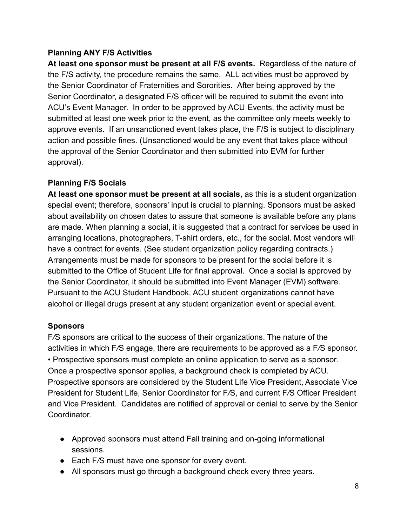# **Planning ANY F/S Activities**

**At least one sponsor must be present at all F/S events.** Regardless of the nature of the F/S activity, the procedure remains the same. ALL activities must be approved by the Senior Coordinator of Fraternities and Sororities. After being approved by the Senior Coordinator, a designated F/S officer will be required to submit the event into ACU's Event Manager. In order to be approved by ACU Events, the activity must be submitted at least one week prior to the event, as the committee only meets weekly to approve events. If an unsanctioned event takes place, the F/S is subject to disciplinary action and possible fines. (Unsanctioned would be any event that takes place without the approval of the Senior Coordinator and then submitted into EVM for further approval).

### **Planning F/S Socials**

**At least one sponsor must be present at all socials,** as this is a student organization special event; therefore, sponsors' input is crucial to planning. Sponsors must be asked about availability on chosen dates to assure that someone is available before any plans are made. When planning a social, it is suggested that a contract for services be used in arranging locations, photographers, T-shirt orders, etc., for the social. Most vendors will have a contract for events. (See student organization policy regarding contracts.) Arrangements must be made for sponsors to be present for the social before it is submitted to the Office of Student Life for final approval. Once a social is approved by the Senior Coordinator, it should be submitted into Event Manager (EVM) software. Pursuant to the ACU Student Handbook, ACU student organizations cannot have alcohol or illegal drugs present at any student organization event or special event.

# **Sponsors**

F*/*S sponsors are critical to the success of their organizations. The nature of the activities in which F*/*S engage, there are requirements to be approved as a F*/*S sponsor. • Prospective sponsors must complete an online application to serve as a sponsor. Once a prospective sponsor applies, a background check is completed by ACU. Prospective sponsors are considered by the Student Life Vice President, Associate Vice President for Student Life, Senior Coordinator for F*/*S, and current F*/*S Officer President and Vice President. Candidates are notified of approval or denial to serve by the Senior **Coordinator** 

- Approved sponsors must attend Fall training and on-going informational sessions.
- Each F/S must have one sponsor for every event.
- All sponsors must go through a background check every three years.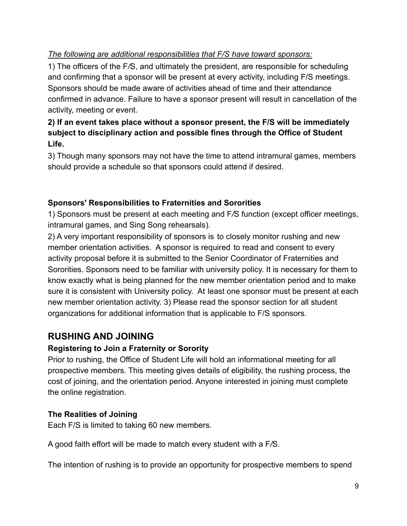# *The following are additional responsibilities that F/S have toward sponsors:*

1) The officers of the F*/*S, and ultimately the president, are responsible for scheduling and confirming that a sponsor will be present at every activity, including F/S meetings. Sponsors should be made aware of activities ahead of time and their attendance confirmed in advance. Failure to have a sponsor present will result in cancellation of the activity, meeting or event.

# **2) If an event takes place without a sponsor present, the F/S will be immediately subject to disciplinary action and possible fines through the Office of Student Life.**

3) Though many sponsors may not have the time to attend intramural games, members should provide a schedule so that sponsors could attend if desired.

# **Sponsors' Responsibilities to Fraternities and Sororities**

1) Sponsors must be present at each meeting and F*/*S function (except officer meetings, intramural games, and Sing Song rehearsals).

2) A very important responsibility of sponsors is to closely monitor rushing and new member orientation activities. A sponsor is required to read and consent to every activity proposal before it is submitted to the Senior Coordinator of Fraternities and Sororities. Sponsors need to be familiar with university policy. It is necessary for them to know exactly what is being planned for the new member orientation period and to make sure it is consistent with University policy. At least one sponsor must be present at each new member orientation activity. 3) Please read the sponsor section for all student organizations for additional information that is applicable to F/S sponsors.

# **RUSHING AND JOINING**

# **Registering to Join a Fraternity or Sorority**

Prior to rushing, the Office of Student Life will hold an informational meeting for all prospective members. This meeting gives details of eligibility, the rushing process, the cost of joining, and the orientation period. Anyone interested in joining must complete the online registration.

# **The Realities of Joining**

Each F/S is limited to taking 60 new members.

A good faith effort will be made to match every student with a F*/*S.

The intention of rushing is to provide an opportunity for prospective members to spend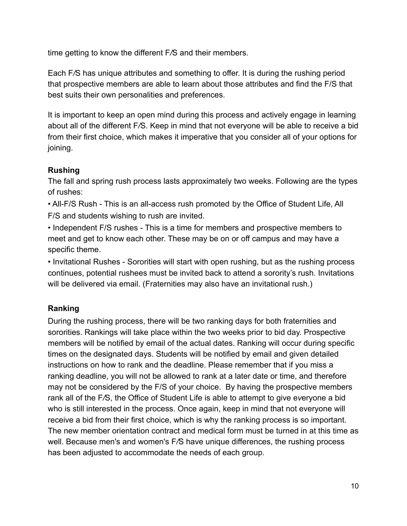time getting to know the different F*/*S and their members.

Each F*/*S has unique attributes and something to offer. It is during the rushing period that prospective members are able to learn about those attributes and find the F/S that best suits their own personalities and preferences.

It is important to keep an open mind during this process and actively engage in learning about all of the different F*/*S. Keep in mind that not everyone will be able to receive a bid from their first choice, which makes it imperative that you consider all of your options for joining.

# **Rushing**

The fall and spring rush process lasts approximately two weeks. Following are the types of rushes:

• All-F/S Rush - This is an all-access rush promoted by the Office of Student Life, All F/S and students wishing to rush are invited.

• Independent F/S rushes - This is a time for members and prospective members to meet and get to know each other. These may be on or off campus and may have a specific theme.

• Invitational Rushes - Sororities will start with open rushing, but as the rushing process continues, potential rushees must be invited back to attend a sorority's rush. Invitations will be delivered via email. (Fraternities may also have an invitational rush.)

# **Ranking**

During the rushing process, there will be two ranking days for both fraternities and sororities. Rankings will take place within the two weeks prior to bid day. Prospective members will be notified by email of the actual dates. Ranking will occur during specific times on the designated days. Students will be notified by email and given detailed instructions on how to rank and the deadline. Please remember that if you miss a ranking deadline, you will not be allowed to rank at a later date or time, and therefore may not be considered by the F/S of your choice. By having the prospective members rank all of the F*/*S, the Office of Student Life is able to attempt to give e*v*eryone a bid who is still interested in the process. Once again, keep in mind that not everyone will receive a bid from their first choice, which is why the ranking process is so important. The new member orientation contract and medical form must be turned in at this time as well. Because men's and women's F*/*S have unique differences, the rushing process has been adjusted to accommodate the needs of each group.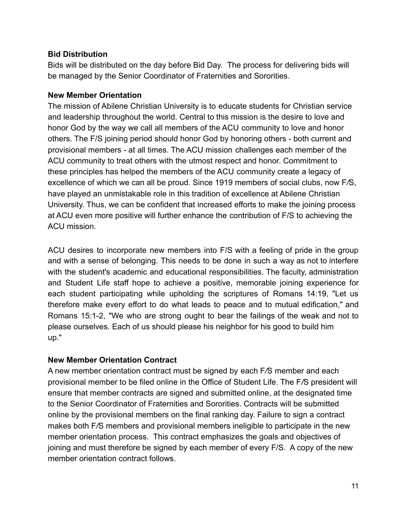#### **Bid Distribution**

Bids will be distributed on the day before Bid Day. The process for delivering bids will be managed by the Senior Coordinator of Fraternities and Sororities.

#### **New Member Orientation**

The mission of Abilene Christian University is to educate students for Christian service and leadership throughout the world. Central to this mission is the desire to love and honor God by the way we call all members of the ACU community to love and honor others. The F/S joining period should honor God by honoring others - both current and provisional members - at all times. The ACU mission challenges each member of the ACU community to treat others with the utmost respect and honor. Commitment to these principles has helped the members of the ACU community create a legacy of excellence of which we can all be proud. Since 1919 members of social clubs, now F*/*S, have played an unmistakable role in this tradition of excellence at Abilene Christian University. Thus, we can be confident that increased efforts to make the joining process at ACU even more positive will further enhance the contribution of F/S to achieving the ACU mission.

ACU desires to incorporate new members into F/S with a feeling of pride in the group and with a sense of belonging. This needs to be done in such a way as not to interfere with the student's academic and educational responsibilities. The faculty, administration and Student Life staff hope to achieve a positive, memorable joining experience for each student participating while upholding the scriptures of Romans 14:19, "Let us therefore make every effort to do what leads to peace and to mutual edification," and Romans 15:1-2, "We who are strong ought to bear the failings of the weak and not to please ourselves. Each of us should please his neighbor for his good to build him up."

#### **New Member Orientation Contract**

A new member orientation contract must be signed by each F*/*S member and each provisional member to be filed online in the Office of Student Life. The F*/*S president will ensure that member contracts are signed and submitted online, at the designated time to the Senior Coordinator of Fraternities and Sororities. Contracts will be submitted online by the provisional members on the final ranking day. Failure to sign a contract makes both F*/*S members and provisional members ineligible to participate in the new member orientation process. This contract emphasizes the goals and objectives of joining and must therefore be signed by each member of every F/S. A copy of the new member orientation contract follows.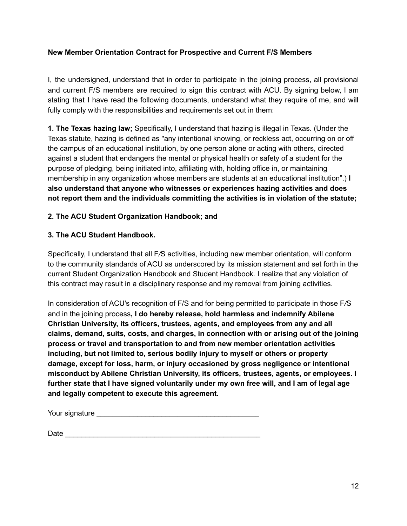#### **New Member Orientation Contract for Prospective and Current F/S Members**

I, the undersigned, understand that in order to participate in the joining process, all provisional and current F/S members are required to sign this contract with ACU. By signing below, I am stating that I have read the following documents, understand what they require of me, and will fully comply with the responsibilities and requirements set out in them:

**1. The Texas hazing law;** Specifically, I understand that hazing is illegal in Texas. (Under the Texas statute, hazing is defined as "any intentional knowing, or reckless act, occurring on or off the campus of an educational institution, by one person alone or acting with others, directed against a student that endangers the mental or physical health or safety of a student for the purpose of pledging, being initiated into, affiliating with, holding office in, or maintaining membership in any organization whose members are students at an educational institution".) **I also understand that anyone who witnesses or experiences hazing activities and does not report them and the individuals committing the activities is in violation of the statute;**

#### **2. The ACU Student Organization Handbook; and**

#### **3. The ACU Student Handbook.**

Specifically, I understand that all F*/*S activities, including new member orientation, will conform to the community standards of ACU as underscored by its mission statement and set forth in the current Student Organization Handbook and Student Handbook. I realize that any violation of this contract may result in a disciplinary response and my removal from joining activities.

In consideration of ACU's recognition of F/S and for being permitted to participate in those F*/*S and in the joining process**, I do hereby release, hold harmless and indemnify Abilene Christian University, its officers, trustees, agents, and employees from any and all claims, demand, suits, costs, and charges, in connection with or arising out of the joining process or travel and transportation to and from new member orientation activities including, but not limited to, serious bodily injury to myself or others or property damage, except for loss, harm, or injury occasioned by gross negligence or intentional misconduct by Abilene Christian University, its officers, trustees, agents, or employees. I further state that I have signed voluntarily under my own free will, and I am of legal age and legally competent to execute this agreement.**

| Your signature |  |
|----------------|--|
|                |  |

| Date |  |
|------|--|
|      |  |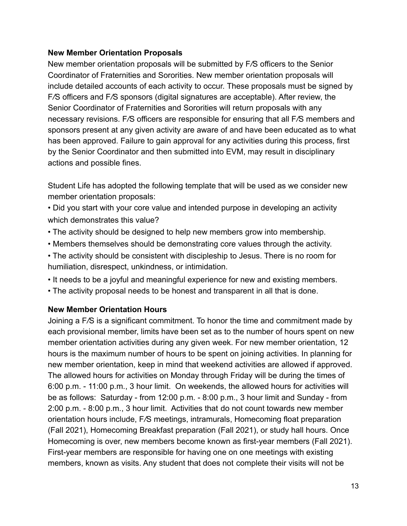#### **New Member Orientation Proposals**

New member orientation proposals will be submitted by F*/*S officers to the Senior Coordinator of Fraternities and Sororities. New member orientation proposals will include detailed accounts of each activity to occur. These proposals must be signed by F*/*S officers and F*/*S sponsors (digital signatures are acceptable). After review, the Senior Coordinator of Fraternities and Sororities will return proposals with any necessary revisions. F*/*S officers are responsible for ensuring that all F*/*S members and sponsors present at any given activity are aware of and have been educated as to what has been approved. Failure to gain approval for any activities during this process, first by the Senior Coordinator and then submitted into EVM, may result in disciplinary actions and possible fines.

Student Life has adopted the following template that will be used as we consider new member orientation proposals:

- Did you start with your core value and intended purpose in developing an activity which demonstrates this value?
- The activity should be designed to help new members grow into membership.
- Members themselves should be demonstrating core values through the activity.
- The activity should be consistent with discipleship to Jesus. There is no room for humiliation, disrespect, unkindness, or intimidation.
- It needs to be a joyful and meaningful experience for new and existing members.
- The activity proposal needs to be honest and transparent in all that is done.

#### **New Member Orientation Hours**

Joining a F*/*S is a significant commitment. To honor the time and commitment made by each provisional member, limits have been set as to the number of hours spent on new member orientation activities during any given week. For new member orientation, 12 hours is the maximum number of hours to be spent on joining activities. In planning for new member orientation, keep in mind that weekend activities are allowed if approved. The allowed hours for activities on Monday through Friday will be during the times of 6:00 p.m. - 11:00 p.m., 3 hour limit. On weekends, the allowed hours for activities will be as follows: Saturday - from 12:00 p.m. - 8:00 p.m., 3 hour limit and Sunday - from 2:00 p.m. - 8:00 p.m., 3 hour limit. Activities that do not count towards new member orientation hours include, F*/*S meetings, intramurals, Homecoming float preparation (Fall 2021), Homecoming Breakfast preparation (Fall 2021), or study hall hours. Once Homecoming is over, new members become known as first-year members (Fall 2021). First-year members are responsible for having one on one meetings with existing members, known as visits. Any student that does not complete their visits will not be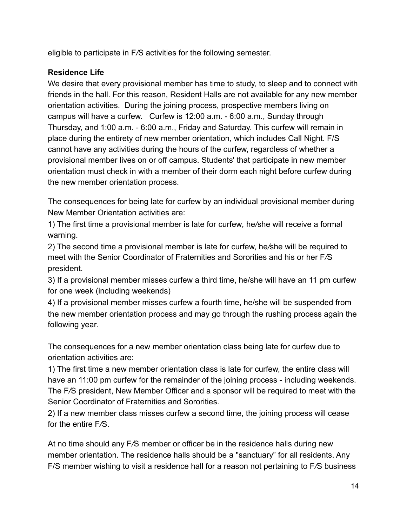eligible to participate in F*/*S activities for the following semester.

## **Residence Life**

We desire that every provisional member has time to study, to sleep and to connect with friends in the hall. For this reason, Resident Halls are not available for any new member orientation activities. During the joining process, prospective members living on campus will have a curfew. Curfew is 12:00 a.m. - 6:00 a.m., Sunday through Thursday, and 1:00 a.m. - 6:00 a.m., Friday and Saturday. This curfew will remain in place during the entirety of new member orientation, which includes Call Night. F/S cannot have any activities during the hours of the curfew, regardless of whether a provisional member lives on or off campus. Students' that participate in new member orientation must check in with a member of their dorm each night before curfew during the new member orientation process.

The consequences for being late for curfew by an individual provisional member during New Member Orientation activities are:

1) The first time a provisional member is late for curfew*,* he*/*she will receive a formal warning.

2) The second time a provisional member is late for curfew, he*/*she will be required to meet with the Senior Coordinator of Fraternities and Sororities and his or her F*/*S president.

3) If a provisional member misses curfew a third time, he/she will have an 11 pm curfew for one *w*eek (including weekends)

4) If a provisional member misses curfew a fourth time, he/she will be suspended from the new member orientation process and may go through the rushing process again the following year.

The consequences for a new member orientation class being late for curfew due to orientation activities are:

1) The first time a new member orientation class is late for curfew, the entire class will have an 11:00 pm curfew for the remainder of the joining process - including weekends. The F*/*S president, New Member Officer and a sponsor will be required to meet with the Senior Coordinator of Fraternities and Sororities.

2) If a new member class misses curfew a second time, the joining process will cease for the entire F*/*S.

At no time should any F*/*S member or officer be in the residence halls during new member orientation. The residence halls should be a "sanctuary" for all residents. Any F/S member wishing to visit a residence hall for a reason not pertaining to F*/*S business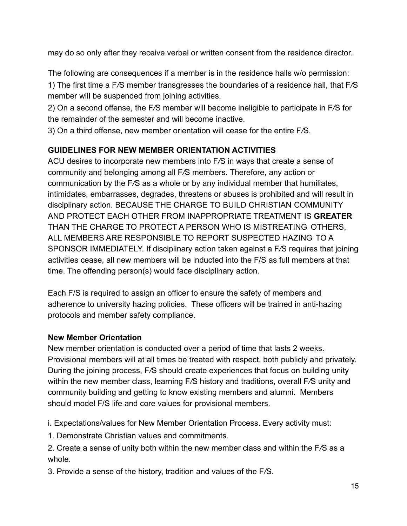may do so only after they receive verbal or written consent from the residence director.

The following are consequences if a member is in the residence halls w/o permission: 1) The first time a F*/*S member transgresses the boundaries of a residence hall, that F*/*S member will be suspended from joining activities.

2) On a second offense, the F*/*S member will become ineligible to participate in F*/*S for the remainder of the semester and will become inactive.

3) On a third offense, new member orientation will cease for the entire F*/*S.

# **GUIDELINES FOR NEW MEMBER ORIENTATION ACTIVITIES**

ACU desires to incorporate new members into F*/*S in ways that create a sense of community and belonging among all F*/*S members. Therefore, any action or communication by the F*/*S as a whole or by any individual member that humiliates, intimidates, embarrasses, degrades, threatens or abuses is prohibited and will result in disciplinary action. BECAUSE THE CHARGE TO BUILD CHRISTIAN COMMUNITY AND PROTECT EACH OTHER FROM INAPPROPRIATE TREATMENT IS **GREATER** THAN THE CHARGE TO PROTECT A PERSON WHO IS MISTREATING OTHERS, ALL MEMBERS ARE RESPONSIBLE TO REPORT SUSPECTED HAZING TO A SPONSOR IMMEDIATELY. If disciplinary action taken against a F*/*S requires that joining activities cease, all new members will be inducted into the F/S as full members at that time. The offending person(s) would face disciplinary action.

Each F/S is required to assign an officer to ensure the safety of members and adherence to university hazing policies. These officers will be trained in anti-hazing protocols and member safety compliance.

# **New Member Orientation**

New member orientation is conducted over a period of time that lasts 2 weeks. Provisional members will at all times be treated with respect, both publicly and privately. During the joining process, F*/*S should create experiences that focus on building unity within the new member class, learning F*/*S history and traditions, overall F*/*S unity and community building and getting to know existing members and alumni. Members should model F/S life and core values for provisional members.

i. Expectations/values for New Member Orientation Process. Every activity must:

1. Demonstrate Christian values and commitments.

2. Create a sense of unity both within the new member class and within the F*/*S as a whole.

3. Provide a sense of the history, tradition and values of the F*/*S.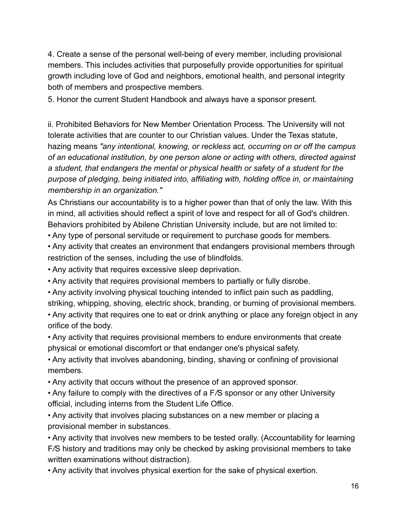4. Create a sense of the personal well-being of every member, including provisional members. This includes activities that purposefully provide opportunities for spiritual growth including love of God and neighbors, emotional health, and personal integrity both of members and prospective members.

5. Honor the current Student Handbook and always have a sponsor present.

ii. Prohibited Behaviors for New Member Orientation Process. The University will not tolerate activities that are counter to our Christian values. Under the Texas statute, hazing means *"any intentional, knowing, or reckless* ac*t, occurring on or off the campus of an educational institution, by one person alone or acting with others, directed against a student, that endangers the mental or physical health or safe*t*y of a student for the purpose of pledging, being initiated into, affiliating with, holding office in, or maintaining membership in an organization."*

As Christians our accountability is to a higher power than that of only the law. With this in mind, all activities should reflect a spirit of love and respect for all of God's children. Behaviors prohibited by Abilene Christian University include, but are not limited to:

• Any type of personal servitude or requirement to purchase goods for members.

• Any activity that creates an environment that endangers provisional members through restriction of the senses, including the use of blindfolds.

• Any activity that requires excessive sleep deprivation.

• Any activity that requires provisional members to partially or fully disrobe.

• Any activity involving physical touching intended to inflict pain such as paddling, striking, whipping, shoving, electric shock, branding, or burning of provisional members.

• Any activity that requires one to eat or drink anything or place any foreign object in any orifice of the body.

• Any activity that requires provisional members to endure environments that create physical or emotional discomfort or that endanger one's physical safety.

• Any activity that involves abandoning, binding, shaving or confining of provisional members.

• Any activity that occurs without the presence of an approved sponsor.

• Any failure to comply with the directives of a F*/*S sponsor or any other University official, including interns from the Student Life Office.

• Any activity that involves placing substances on a new member or placing a provisional member in substances.

• Any activity that involves new members to be tested orally. (Accountability for learning F*/*S history and traditions may only be checked by asking provisional members to take written examinations without distraction).

• Any activity that involves physical exertion for the sake of physical exertion.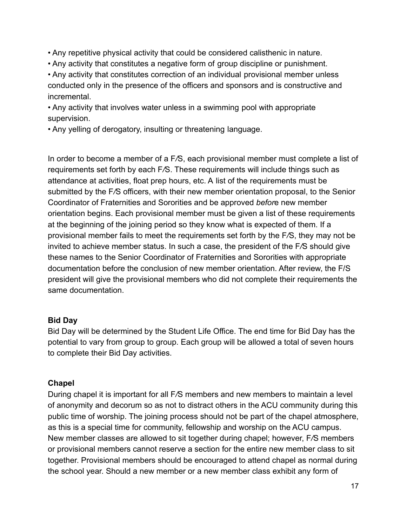- Any repetitive physical activity that could be considered calisthenic in nature.
- Any activity that constitutes a negative form of group discipline or punishment.

• Any activity that constitutes correction of an individual provisional member unless conducted only in the presence of the officers and sponsors and is constructive and incremental.

• Any activity that involves water unless in a swimming pool with appropriate supervision.

• Any yelling of derogatory, insulting or threatening language.

In order to become a member of a F*/*S, each provisional member must complete a list of requirements set forth by each F*/*S. These requirements will include things such as attendance at activities, float prep hours, etc. A list of the requirements must be submitted by the F*/*S officers, with their new member orientation proposal, to the Senior Coordinator of Fraternities and Sororities and be approved *befor*e new member orientation begins. Each provisional member must be given a list of these requirements at the beginning of the joining period so they know what is expected of them. If a provisional member fails to meet the requirements set forth by the F*/*S, they may not be invited to achieve member status. In such a case, the president of the F*/*S should give these names to the Senior Coordinator of Fraternities and Sororities with appropriate documentation before the conclusion of new member orientation. After review, the F/S president will give the provisional members who did not complete their requirements the same documentation.

#### **Bid Day**

Bid Day will be determined by the Student Life Office. The end time for Bid Day has the potential to vary from group to group. Each group will be allowed a total of seven hours to complete their Bid Day activities.

# **Chapel**

During chapel it is important for all F*/*S members and new members to maintain a level of anonymity and decorum so as not to distract others in the ACU community during this public time of worship. The joining process should not be part of the chapel atmosphere, as this is a special time for community, fellowship and worship on the ACU campus. New member classes are allowed to sit together during chapel; however, F*/*S members or provisional members cannot reserve a section for the entire new member class to sit together. Provisional members should be encouraged to attend chapel as normal during the school year. Should a new member or a new member class exhibit any form of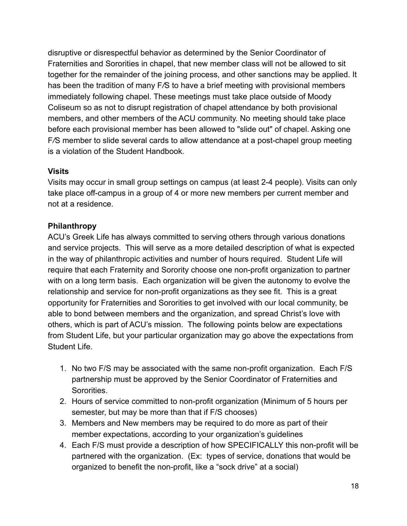disruptive or disrespectful behavior as determined by the Senior Coordinator of Fraternities and Sororities in chapel, that new member class will not be allowed to sit together for the remainder of the joining process, and other sanctions may be applied. It has been the tradition of many F*/*S to have a brief meeting with provisional members immediately following chapel. These meetings must take place outside of Moody Coliseum so as not to disrupt registration of chapel attendance by both provisional members, and other members of the ACU community. No meeting should take place before each provisional member has been allowed to "slide out" of chapel. Asking one F*/*S member to slide several cards to allow attendance at a post-chapel group meeting is a violation of the Student Handbook.

#### **Visits**

Visits may occur in small group settings on campus (at least 2-4 people). Visits can only take place off-campus in a group of 4 or more new members per current member and not at a residence.

### **Philanthropy**

ACU's Greek Life has always committed to serving others through various donations and service projects. This will serve as a more detailed description of what is expected in the way of philanthropic activities and number of hours required. Student Life will require that each Fraternity and Sorority choose one non-profit organization to partner with on a long term basis. Each organization will be given the autonomy to evolve the relationship and service for non-profit organizations as they see fit. This is a great opportunity for Fraternities and Sororities to get involved with our local community, be able to bond between members and the organization, and spread Christ's love with others, which is part of ACU's mission. The following points below are expectations from Student Life, but your particular organization may go above the expectations from Student Life.

- 1. No two F/S may be associated with the same non-profit organization. Each F/S partnership must be approved by the Senior Coordinator of Fraternities and Sororities.
- 2. Hours of service committed to non-profit organization (Minimum of 5 hours per semester, but may be more than that if F/S chooses)
- 3. Members and New members may be required to do more as part of their member expectations, according to your organization's guidelines
- 4. Each F/S must provide a description of how SPECIFICALLY this non-profit will be partnered with the organization. (Ex: types of service, donations that would be organized to benefit the non-profit, like a "sock drive" at a social)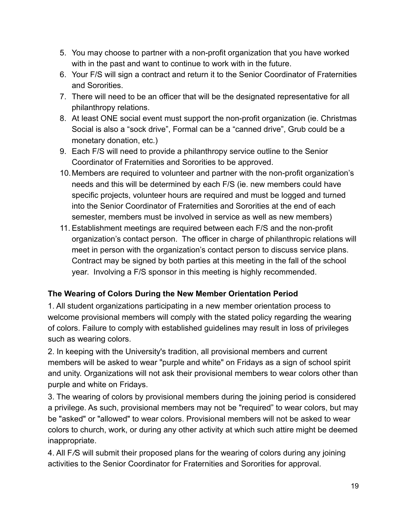- 5. You may choose to partner with a non-profit organization that you have worked with in the past and want to continue to work with in the future.
- 6. Your F/S will sign a contract and return it to the Senior Coordinator of Fraternities and Sororities.
- 7. There will need to be an officer that will be the designated representative for all philanthropy relations.
- 8. At least ONE social event must support the non-profit organization (ie. Christmas Social is also a "sock drive", Formal can be a "canned drive", Grub could be a monetary donation, etc.)
- 9. Each F/S will need to provide a philanthropy service outline to the Senior Coordinator of Fraternities and Sororities to be approved.
- 10.Members are required to volunteer and partner with the non-profit organization's needs and this will be determined by each F/S (ie. new members could have specific projects, volunteer hours are required and must be logged and turned into the Senior Coordinator of Fraternities and Sororities at the end of each semester, members must be involved in service as well as new members)
- 11. Establishment meetings are required between each F/S and the non-profit organization's contact person. The officer in charge of philanthropic relations will meet in person with the organization's contact person to discuss service plans. Contract may be signed by both parties at this meeting in the fall of the school year. Involving a F/S sponsor in this meeting is highly recommended.

# **The Wearing of Colors During the New Member Orientation Period**

1. All student organizations participating in a new member orientation process to welcome provisional members will comply with the stated policy regarding the wearing of colors. Failure to comply with established guidelines may result in loss of privileges such as wearing colors.

2. In keeping with the University's tradition, all provisional members and current members will be asked to wear "purple and white" on Fridays as a sign of school spirit and unity. Organizations will not ask their provisional members to wear colors other than purple and white on Fridays.

3. The wearing of colors by provisional members during the joining period is considered a privilege. As such, provisional members may not be "required" to wear colors, but may be "asked" or "allowed" to wear colors. Provisional members will not be asked to wear colors to church, work, or during any other activity at which such attire might be deemed inappropriate.

4. All F*/*S will submit their proposed plans for the wearing of colors during any joining activities to the Senior Coordinator for Fraternities and Sororities for approval.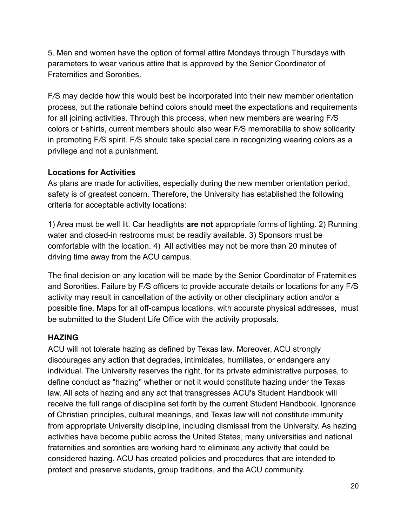5. Men and women have the option of formal attire Mondays through Thursdays with parameters to wear various attire that is approved by the Senior Coordinator of Fraternities and Sororities.

F*/*S may decide how this would best be incorporated into their new member orientation process, but the rationale behind colors should meet the expectations and requirements for all joining activities. Through this process, when new members are wearing F*/*S colors or t-shirts, current members should also wear F*/*S memorabilia to show solidarity in promoting F*/*S spirit. F*/*S should take special care in recognizing wearing colors as a privilege and not a punishment.

### **Locations for Activities**

As plans are made for activities, especially during the new member orientation period, safety is of greatest concern. Therefore, the University has established the following criteria for acceptable activity locations:

1) Area must be well lit. Car headlights **are not** appropriate forms of lighting. 2) Running water and closed-in restrooms must be readily available. 3) Sponsors must be comfortable with the location. 4) All activities may not be more than 20 minutes of driving time away from the ACU campus.

The final decision on any location will be made by the Senior Coordinator of Fraternities and Sororities. Failure by F*/*S officers to provide accurate details or locations for any F*/*S activity may result in cancellation of the activity or other disciplinary action and/or a possible fine. Maps for all off-campus locations, with accurate physical addresses, must be submitted to the Student Life Office with the activity proposals.

# **HAZING**

ACU will not tolerate hazing as defined by Texas law. Moreover, ACU strongly discourages any action that degrades, intimidates, humiliates, or endangers any individual. The University reserves the right, for its private administrative purposes, to define conduct as "hazing" whether or not it would constitute hazing under the Texas law. All acts of hazing and any act that transgresses ACU's Student Handbook will receive the full range of discipline set forth by the current Student Handbook. Ignorance of Christian principles, cultural meanings, and Texas law will not constitute immunity from appropriate University discipline, including dismissal from the University. As hazing activities have become public across the United States, many universities and national fraternities and sororities are working hard to eliminate any activity that could be considered hazing. ACU has created policies and procedures that are intended to protect and preserve students, group traditions, and the ACU community.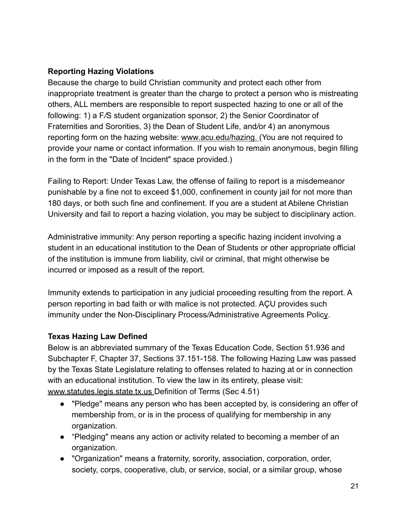# **Reporting Hazing Violations**

Because the charge to build Christian community and protect each other from inappropriate treatment is greater than the charge to protect a person who is mistreating others, ALL members are responsible to report suspected hazing to one or all of the following: 1) a F*/*S student organization sponsor, 2) the Senior Coordinator of Fraternities and Sororities, 3) the Dean of Student Life, and*/*or 4) an anonymous reporting form on the hazing website: www*.*acu.edu/hazing. (You are not required to provide your name or contact information. If you wish to remain anonymous, begin filling in the form in the "Date of Incident" space provided.)

Failing to Report: Under Texas Law, the offense of failing to report is a misdemeanor punishable by a fine not to exceed \$1,000, confinement in county jail for not more than 180 days, or both such fine and confinement. If you are a student at Abilene Christian University and fail to report a hazing violation, you may be subject to disciplinary action.

Administrative immunity: Any person reporting a specific hazing incident involving a student in an educational institution to the Dean of Students or other appropriate official of the institution is immune from liability, civil or criminal, that might otherwise be incurred or imposed as a result of the report.

Immunity extends to participation in any judicial proceeding resulting from the report. A person reporting in bad faith or with malice is not protected. AÇU provides such immunity under the Non-Disciplinary Process*/*Administrative Agreements Policy.

# **Texas Hazing Law Defined**

Below is an abbreviated summary of the Texas Education Code, Section 51.936 and Subchapter F, Chapter 37, Sections 37.151-158. The following Hazing Law was passed by the Texas State Legislature relating to offenses related to hazing at or in connection with an educational institution. To view the law in its entirety, please visit: www.statutes.legis.state.tx.us Definition of Terms (Sec 4.51)

- "Pledge" means any person who has been accepted by, is considering an offer of membership from, or is in the process of qualifying for membership in any organization.
- "Pledging" means any action or activity related to becoming a member of an organization.
- "Organization" means a fraternity, sorority, association, corporation, order, society, corps, cooperative, club, or service, social, or a similar group, whose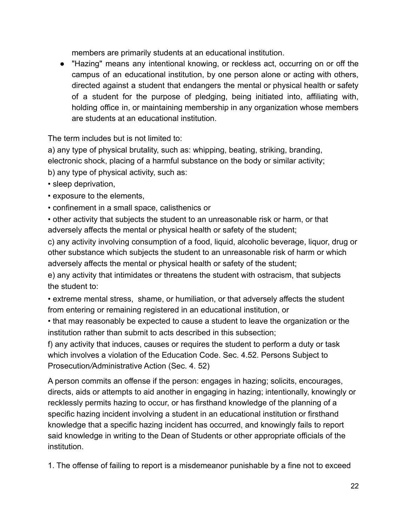members are primarily students at an educational institution.

● "Hazing" means any intentional knowing, or reckless act, occurring on or off the campus of an educational institution, by one person alone or acting with others, directed against a student that endangers the mental or physical health or safety of a student for the purpose of pledging, being initiated into, affiliating with, holding office in, or maintaining membership in any organization whose members are students at an educational institution.

The term includes but is not limited to:

a) any type of physical brutality, such as: whipping, beating, striking, branding, electronic shock, placing of a harmful substance on the body or similar activity; b) any type of physical activity, such as:

- sleep deprivation,
- exposure to the elements,
- confinement in a small space, calisthenics or

• other activity that subjects the student to an unreasonable risk or harm, or that adversely affects the mental or physical health or safety of the student;

c) any activity involving consumption of a food, liquid, alcoholic beverage, liquor, drug or other substance which subjects the student to an unreasonable risk of harm or which adversely affects the mental or physical health or safety of the student;

e) any activity that intimidates or threatens the student with ostracism, that subjects the student to:

• extreme mental stress, shame, or humiliation, or that adversely affects the student from entering or remaining registered in an educational institution, or

• that may reasonably be expected to cause a student to leave the organization or the institution rather than submit to acts described in this subsection;

f) any activity that induces, causes or requires the student to perform a duty or task which involves a violation of the Education Code. Sec. 4.52. Persons Subject to Prosecution*/*Administrative Action (Sec. 4. 52)

A person commits an offense if the person: engages in hazing; solicits, encourages, directs, aids or attempts to aid another in engaging in hazing; intentionally, knowingly or recklessly permits hazing to occur, or has firsthand knowledge of the planning of a specific hazing incident involving a student in an educational institution or firsthand knowledge that a specific hazing incident has occurred, and knowingly fails to report said knowledge in writing to the Dean of Students or other appropriate officials of the institution.

1. The offense of failing to report is a misdemeanor punishable by a fine not to exceed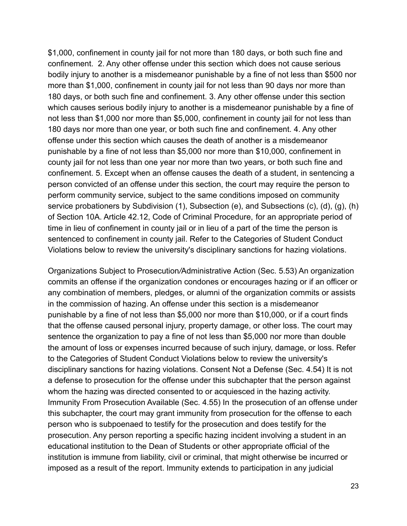\$1,000, confinement in county jail for not more than 180 days, or both such fine and confinement. 2. Any other offense under this section which does not cause serious bodily injury to another is a misdemeanor punishable by a fine of not less than \$500 nor more than \$1,000, confinement in county jail for not less than 90 days nor more than 180 days, or both such fine and confinement. 3. Any other offense under this section which causes serious bodily injury to another is a misdemeanor punishable by a fine of not less than \$1,000 nor more than \$5,000, confinement in county jail for not less than 180 days nor more than one year, or both such fine and confinement. 4. Any other offense under this section which causes the death of another is a misdemeanor punishable by a fine of not less than \$5,000 nor more than \$10,000, confinement in county jail for not less than one year nor more than two years, or both such fine and confinement. 5. Except when an offense causes the death of a student, in sentencing a person convicted of an offense under this section, the court may require the person to perform community service, subject to the same conditions imposed on community service probationers by Subdivision (1), Subsection (e), and Subsections (c), (d), (q), (h) of Section 10A. Article 42.12, Code of Criminal Procedure, for an appropriate period of time in lieu of confinement in county jail or in lieu of a part of the time the person is sentenced to confinement in county jail. Refer to the Categories of Student Conduct Violations below to review the university's disciplinary sanctions for hazing violations.

Organizations Subject to Prosecution*/*Administrative Action (Sec. 5.53) An organization commits an offense if the organization condones or encourages hazing or if an officer or any combination of members, pledges, or alumni of the organization commits or assists in the commission of hazing. An offense under this section is a misdemeanor punishable by a fine of not less than \$5,000 nor more than \$10,000, or if a court finds that the offense caused personal injury, property damage, or other loss. The court may sentence the organization to pay a fine of not less than \$5,000 nor more than double the amount of loss or expenses incurred because of such injury, damage, or loss. Refer to the Categories of Student Conduct Violations below to review the university's disciplinary sanctions for hazing violations. Consent Not a Defense (Sec. 4.54) It is not a defense to prosecution for the offense under this subchapter that the person against whom the hazing was directed consented to or acquiesced in the hazing activity. Immunity From Prosecution Available (Sec. 4.55) In the prosecution of an offense under this subchapter, the court may grant immunity from prosecution for the offense to each person who is subpoenaed to testify for the prosecution and does testify for the prosecution. Any person reporting a specific hazing incident involving a student in an educational institution to the Dean of Students or other appropriate official of the institution is immune from liability, civil or criminal, that might otherwise be incurred or imposed as a result of the report. Immunity extends to participation in any judicial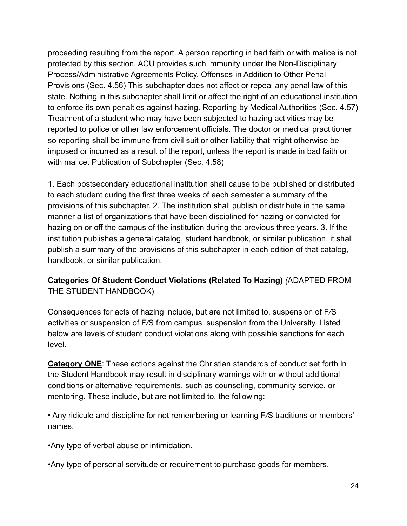proceeding resulting from the report. A person reporting in bad faith or with malice is not protected by this section. ACU provides such immunity under the Non-Disciplinary Process/Administrative Agreements Policy. Offenses in Addition to Other Penal Provisions (Sec. 4.56) This subchapter does not affect or repeal any penal law of this state. Nothing in this subchapter shall limit or affect the right of an educational institution to enforce its own penalties against hazing. Reporting by Medical Authorities (Sec. 4.57) Treatment of a student who may have been subjected to hazing activities may be reported to police or other law enforcement officials. The doctor or medical practitioner so reporting shall be immune from civil suit or other liability that might otherwise be imposed or incurred as a result of the report, unless the report is made in bad faith or with malice. Publication of Subchapter (Sec. 4.58)

1. Each postsecondary educational institution shall cause to be published or distributed to each student during the first three weeks of each semester a summary of the provisions of this subchapter. 2. The institution shall publish or distribute in the same manner a list of organizations that have been disciplined for hazing or convicted for hazing on or off the campus of the institution during the previous three years. 3. If the institution publishes a general catalog, student handbook, or similar publication, it shall publish a summary of the provisions of this subchapter in each edition of that catalog, handbook, or similar publication.

# **Categories Of Student Conduct Violations (Related To Hazing)** *(*ADAPTED FROM THE STUDENT HANDBOOK)

Consequences for acts of hazing include, but are not limited to, suspension of F*/*S activities or suspension of F*/*S from campus, suspension from the University. Listed below are levels of student conduct violations along with possible sanctions for each level.

**Category ONE**: These actions against the Christian standards of conduct set forth in the Student Handbook may result in disciplinary warnings with or without additional conditions or alternative requirements, such as counseling, community service, or mentoring. These include, but are not limited to, the following:

• Any ridicule and discipline for not remembering or learning F*/*S traditions or members' names.

•Any type of verbal abuse or intimidation.

•Any type of personal servitude or requirement to purchase goods for members.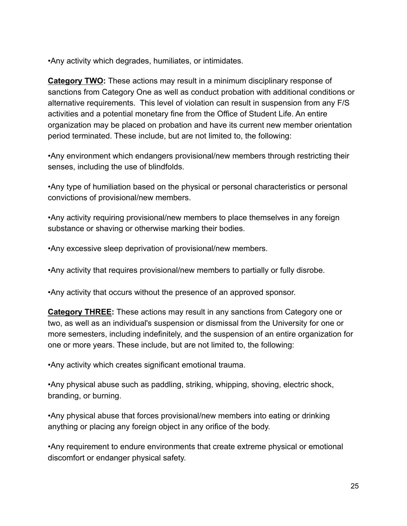•Any activity which degrades, humiliates, or intimidates.

**Category TWO:** These actions may result in a minimum disciplinary response of sanctions from Category One as well as conduct probation with additional conditions or alternative requirements. This level of violation can result in suspension from any F/S activities and a potential monetary fine from the Office of Student Life. An entire organization may be placed on probation and have its current new member orientation period terminated. These include, but are not limited to, the following:

•Any environment which endangers provisional/new members through restricting their senses, including the use of blindfolds.

•Any type of humiliation based on the physical or personal characteristics or personal convictions of provisional/new members.

•Any activity requiring provisional/new members to place themselves in any foreign substance or shaving or otherwise marking their bodies.

•Any excessive sleep deprivation of provisional/new members.

•Any activity that requires provisional/new members to partially or fully disrobe.

•Any activity that occurs without the presence of an approved sponsor.

**Category THREE:** These actions may result in any sanctions from Category one or two, as well as an individual's suspension or dismissal from the University for one or more semesters, including indefinitely, and the suspension of an entire organization for one or more years. These include, but are not limited to, the following:

•Any activity which creates significant emotional trauma.

•Any physical abuse such as paddling, striking, whipping, shoving, electric shock, branding, or burning.

•Any physical abuse that forces provisional/new members into eating or drinking anything or placing any foreign object in any orifice of the body.

•Any requirement to endure environments that create extreme physical or emotional discomfort or endanger physical safety.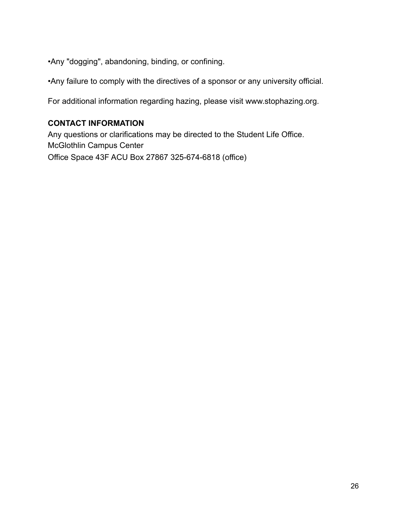•Any "dogging", abandoning, binding, or confining.

•Any failure to comply with the directives of a sponsor or any university official.

For additional information regarding hazing, please visit www.stophazing.org.

### **CONTACT INFORMATION**

Any questions or clarifications may be directed to the Student Life Office. McGlothlin Campus Center Office Space 43F ACU Box 27867 325-674-6818 (office)